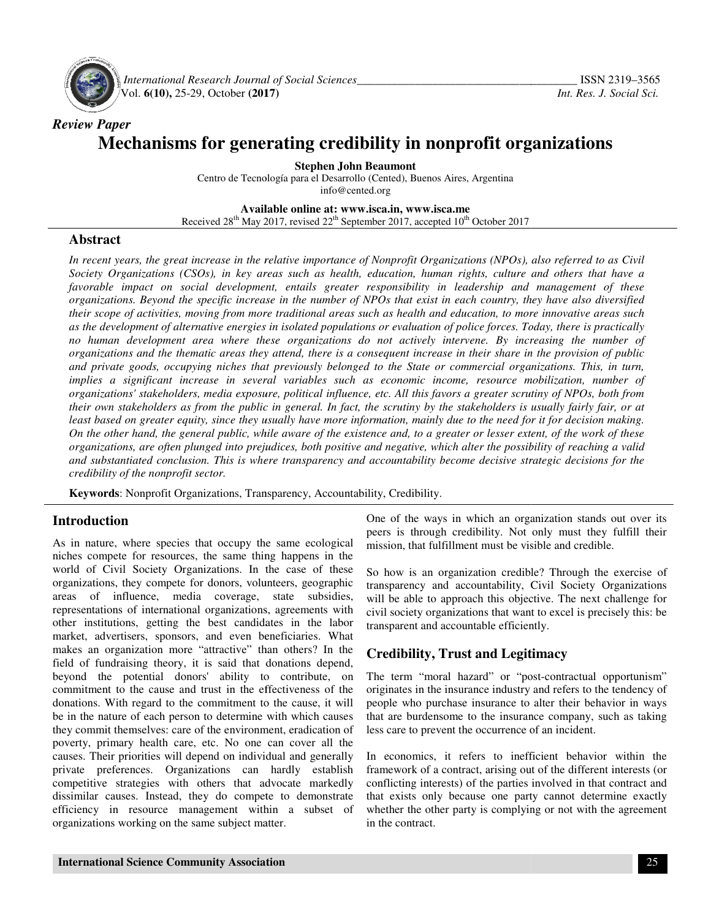

*Review Paper* 

 *International Research Journal Journal of Social Sciences\_\_\_\_\_\_\_\_\_\_\_\_\_\_\_\_\_\_\_\_\_\_\_\_\_\_\_\_\_\_\_\_\_\_\_* Vol. **6(10),** 25-29, October **(2017) (2017)**

# **Mechanisms for generating credibility in nonprofit organizations nonprofit**

Centro de Tecnología para el Desarrollo (Cented), Buenos Aires, Argentina **Stephen John Beaumont**  info@cented.org

**Available Available online at: www.isca.in, www.isca.me**  Received 28<sup>th</sup> May 2017, revised 22<sup>th</sup> September 2017, accepted 10<sup>th</sup> October 2017

#### **Abstract**

*In recent years, the great increase in the relative importance of Nonprofit Organizations (NPOs), also referred to as Civil Society Organizations (CSOs), in key areas such as health, education, human rights, culture and others that have a favorable impact on social development, entails greater responsibility in leadership and management of these organizations. Beyond the specific increase in the number of NPOs that exist in each country, they have also diversified their scope of activities, moving from more* their scope of activities, moving from more traditional areas such as health and education, to more innovative areas such<br>as the development of alternative energies in isolated populations or evaluation of police forces. T as the development of alternative energies in isolated populations or evaluation of police forces. Today, there is practically<br>no human development area where these organizations do not actively intervene. By increasing th *organizations and the thematic areas they attend, there is a consequent increase in their share in the provision of public organizations and the thematic areas they attend, there is a consequent increase in their share in the provision of public*<br>and private goods, occupying niches that previously belonged to the State or commercial organizat *implies a significant increase in several variables such as economic income, resource mobilization, number of organizations' stakeholders, media exposure, political influence, etc. All this favors a greater scrutin their own stakeholders as from the public in general. In fact, the scrutiny by the stakeholders is usually fairly fair, or at least based on greater equity, since they usually have more information, mainly due to the need for it for de On the other hand, the general public, while aware of the existence and, to a greater or lesser extent, of the work of these organizations, are often plunged into prejudices, both positive and negative, which alter the possibility of reaching a valid and substantiated conclusion. This is where transparency and accountability become decisive strategic decisions for the credibility of the nonprofit sector. In recent years, the great increase in the relative importance of Nonprofit Organizations (NPOs), also referred to as Civil Society Organizations (CSOs), in key areas such as health, education, human rights, culture and o* increase in several variables such as economic income, resource mobilization, number of<br>ders, media exposure, political influence, etc. All this favors a greater scrutiny of NPOs, both from<br>as from the public in general. I *s* do not actively intervene. By increasing the number of a consequent increase in their share in the provision of public nged to the State or commercial organizations. This, in turn, ch as economic income, resource mobil *decision making.* 

**Keywords**: Nonprofit Organizations, Transparency, Accountability, Credibility.

## **Introduction**

As in nature, where species that occupy the same ecological niches compete for resources, the same thing happens in the world of Civil Society Organizations. In the case of these organizations, they compete for donors, volunteers, geographic areas of influence, media coverage, state subsidies, representations of international organizations, agreements with other institutions, getting the best candidates in the labor market, advertisers, sponsors, and even beneficiaries. What makes an organization more "attractive" than others? In the field of fundraising theory, it is said that donations depend, beyond the potential donors' ability to contribute, on commitment to the cause and trust in the effectiveness of the donations. With regard to the commitment to the cause, it will be in the nature of each person to determine with which causes they commit themselves: care of the environment, eradication of poverty, primary health care, etc. No one can cover all the causes. Their priorities will depend on individual and generally private preferences. Organizations can hardly establish competitive strategies with others that advocate markedly dissimilar causes. Instead, they do compete to demonstrate efficiency in resource management within a subset of organizations working on the same subject matter. **Subsequence)** Superiorial Comprofit Organizations, Transparency, Accounta<br> **duction**<br>
nature, where species that occupy the same ecological<br>
compete for resources, the same thing happens in the<br>
of Civil Society Organizat **Toduction**<br> **In antiture, where species that occupy the same ecological mission, that fulfillment must be visible and credible.**<br>
In antiture, which cover the same thing happens in the case of these So how is an organizat

peers is through credibility. Not only must they fulfill their mission, that fulfillment must be visible and credible.

So how is an organization credible? Through the exercise of transparency and accountability, Civil Society Organizations will be able to approach this objective. The next challenge for civil society organizations that want to excel is precisely this: be transparent and accountable efficiently. In the ways in which an organization stands out over its<br>through credibility. Not only must they fulfill their<br>that fulfillment must be visible and credible.<br>is an organization credible? Through the exercise of<br>ncy and acc

## **Credibility, Trust and Legitimacy**

The term "moral hazard" or "post-contractual opportunism" originates in the insurance industry and refers to the tendency of originates in the insurance industry and refers to the tendency of people who purchase insurance to alter their behavior in ways that are burdensome to the insurance company, such as taking less care to prevent the occurrence of an incident. less care to prevent the occurrence of an incident.

In economics, it refers to inefficient behavior within the framework of a contract, arising out of the different interests (or conflicting interests) of the parties involved in that contract and that exists only because one party cannot determine exactly In economics, it refers to inefficient behavior within the framework of a contract, arising out of the different interests (or conflicting interests) of the parties involved in that contract and that exists only because on in the contract.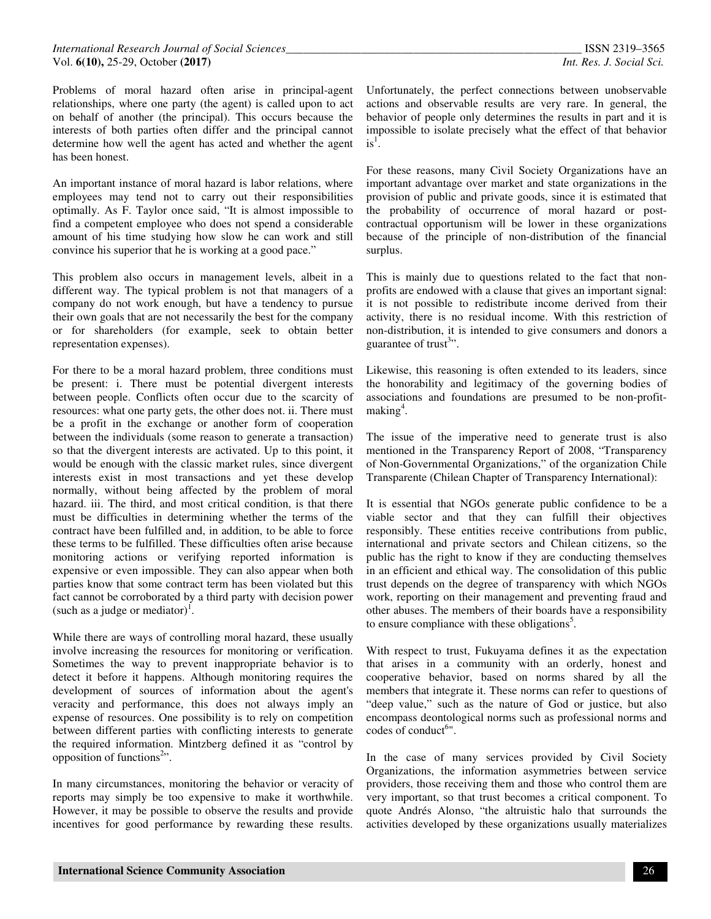Problems of moral hazard often arise in principal-agent relationships, where one party (the agent) is called upon to act on behalf of another (the principal). This occurs because the interests of both parties often differ and the principal cannot determine how well the agent has acted and whether the agent has been honest.

An important instance of moral hazard is labor relations, where employees may tend not to carry out their responsibilities optimally. As F. Taylor once said, "It is almost impossible to find a competent employee who does not spend a considerable amount of his time studying how slow he can work and still convince his superior that he is working at a good pace."

This problem also occurs in management levels, albeit in a different way. The typical problem is not that managers of a company do not work enough, but have a tendency to pursue their own goals that are not necessarily the best for the company or for shareholders (for example, seek to obtain better representation expenses).

For there to be a moral hazard problem, three conditions must be present: i. There must be potential divergent interests between people. Conflicts often occur due to the scarcity of resources: what one party gets, the other does not. ii. There must be a profit in the exchange or another form of cooperation between the individuals (some reason to generate a transaction) so that the divergent interests are activated. Up to this point, it would be enough with the classic market rules, since divergent interests exist in most transactions and yet these develop normally, without being affected by the problem of moral hazard. iii. The third, and most critical condition, is that there must be difficulties in determining whether the terms of the contract have been fulfilled and, in addition, to be able to force these terms to be fulfilled. These difficulties often arise because monitoring actions or verifying reported information is expensive or even impossible. They can also appear when both parties know that some contract term has been violated but this fact cannot be corroborated by a third party with decision power (such as a judge or mediator)<sup>1</sup>.

While there are ways of controlling moral hazard, these usually involve increasing the resources for monitoring or verification. Sometimes the way to prevent inappropriate behavior is to detect it before it happens. Although monitoring requires the development of sources of information about the agent's veracity and performance, this does not always imply an expense of resources. One possibility is to rely on competition between different parties with conflicting interests to generate the required information. Mintzberg defined it as "control by opposition of functions<sup>2</sup>".

In many circumstances, monitoring the behavior or veracity of reports may simply be too expensive to make it worthwhile. However, it may be possible to observe the results and provide incentives for good performance by rewarding these results.

Unfortunately, the perfect connections between unobservable actions and observable results are very rare. In general, the behavior of people only determines the results in part and it is impossible to isolate precisely what the effect of that behavior  $is^1$ .

For these reasons, many Civil Society Organizations have an important advantage over market and state organizations in the provision of public and private goods, since it is estimated that the probability of occurrence of moral hazard or postcontractual opportunism will be lower in these organizations because of the principle of non-distribution of the financial surplus.

This is mainly due to questions related to the fact that nonprofits are endowed with a clause that gives an important signal: it is not possible to redistribute income derived from their activity, there is no residual income. With this restriction of non-distribution, it is intended to give consumers and donors a guarantee of trust<sup>3</sup>".

Likewise, this reasoning is often extended to its leaders, since the honorability and legitimacy of the governing bodies of associations and foundations are presumed to be non-profitmaking<sup>4</sup>.

The issue of the imperative need to generate trust is also mentioned in the Transparency Report of 2008, "Transparency of Non-Governmental Organizations," of the organization Chile Transparente (Chilean Chapter of Transparency International):

It is essential that NGOs generate public confidence to be a viable sector and that they can fulfill their objectives responsibly. These entities receive contributions from public, international and private sectors and Chilean citizens, so the public has the right to know if they are conducting themselves in an efficient and ethical way. The consolidation of this public trust depends on the degree of transparency with which NGOs work, reporting on their management and preventing fraud and other abuses. The members of their boards have a responsibility to ensure compliance with these obligations<sup>5</sup>.

With respect to trust, Fukuyama defines it as the expectation that arises in a community with an orderly, honest and cooperative behavior, based on norms shared by all the members that integrate it. These norms can refer to questions of "deep value," such as the nature of God or justice, but also encompass deontological norms such as professional norms and codes of conduct<sup>6</sup>".

In the case of many services provided by Civil Society Organizations, the information asymmetries between service providers, those receiving them and those who control them are very important, so that trust becomes a critical component. To quote Andrés Alonso, "the altruistic halo that surrounds the activities developed by these organizations usually materializes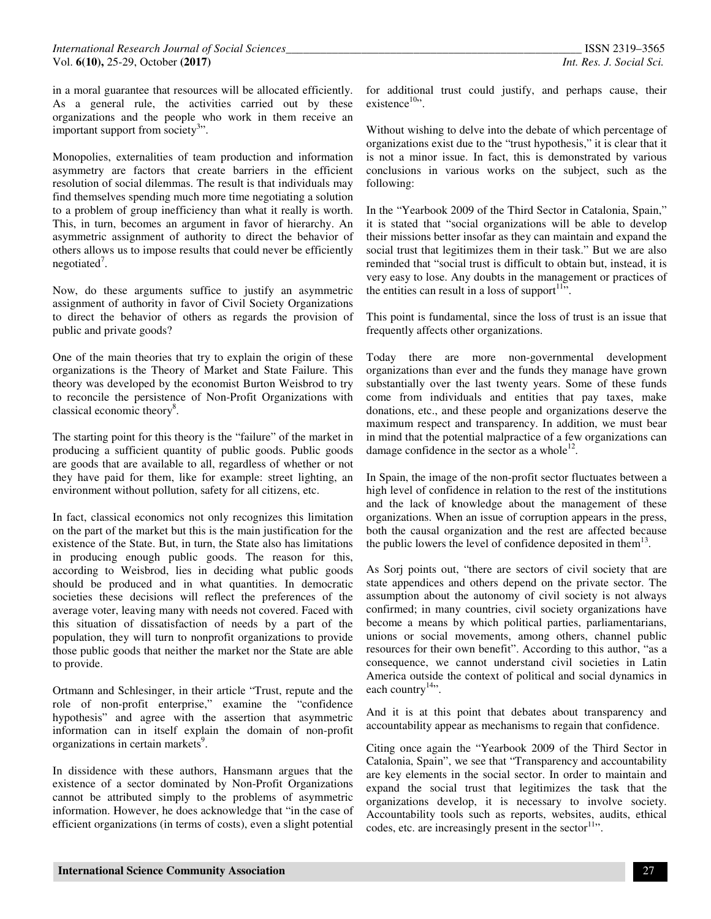in a moral guarantee that resources will be allocated efficiently. As a general rule, the activities carried out by these organizations and the people who work in them receive an important support from society<sup>3</sup>".

Monopolies, externalities of team production and information asymmetry are factors that create barriers in the efficient resolution of social dilemmas. The result is that individuals may find themselves spending much more time negotiating a solution to a problem of group inefficiency than what it really is worth. This, in turn, becomes an argument in favor of hierarchy. An asymmetric assignment of authority to direct the behavior of others allows us to impose results that could never be efficiently negotiated<sup>7</sup>.

Now, do these arguments suffice to justify an asymmetric assignment of authority in favor of Civil Society Organizations to direct the behavior of others as regards the provision of public and private goods?

One of the main theories that try to explain the origin of these organizations is the Theory of Market and State Failure. This theory was developed by the economist Burton Weisbrod to try to reconcile the persistence of Non-Profit Organizations with classical economic theory<sup>8</sup>.

The starting point for this theory is the "failure" of the market in producing a sufficient quantity of public goods. Public goods are goods that are available to all, regardless of whether or not they have paid for them, like for example: street lighting, an environment without pollution, safety for all citizens, etc.

In fact, classical economics not only recognizes this limitation on the part of the market but this is the main justification for the existence of the State. But, in turn, the State also has limitations in producing enough public goods. The reason for this, according to Weisbrod, lies in deciding what public goods should be produced and in what quantities. In democratic societies these decisions will reflect the preferences of the average voter, leaving many with needs not covered. Faced with this situation of dissatisfaction of needs by a part of the population, they will turn to nonprofit organizations to provide those public goods that neither the market nor the State are able to provide.

Ortmann and Schlesinger, in their article "Trust, repute and the role of non-profit enterprise," examine the "confidence hypothesis" and agree with the assertion that asymmetric information can in itself explain the domain of non-profit organizations in certain markets<sup>9</sup>.

In dissidence with these authors, Hansmann argues that the existence of a sector dominated by Non-Profit Organizations cannot be attributed simply to the problems of asymmetric information. However, he does acknowledge that "in the case of efficient organizations (in terms of costs), even a slight potential

for additional trust could justify, and perhaps cause, their existence $10$ ".

Without wishing to delve into the debate of which percentage of organizations exist due to the "trust hypothesis," it is clear that it is not a minor issue. In fact, this is demonstrated by various conclusions in various works on the subject, such as the following:

In the "Yearbook 2009 of the Third Sector in Catalonia, Spain," it is stated that "social organizations will be able to develop their missions better insofar as they can maintain and expand the social trust that legitimizes them in their task." But we are also reminded that "social trust is difficult to obtain but, instead, it is very easy to lose. Any doubts in the management or practices of the entities can result in a loss of support  $\mathbb{I}^{11}$ .

This point is fundamental, since the loss of trust is an issue that frequently affects other organizations.

Today there are more non-governmental development organizations than ever and the funds they manage have grown substantially over the last twenty years. Some of these funds come from individuals and entities that pay taxes, make donations, etc., and these people and organizations deserve the maximum respect and transparency. In addition, we must bear in mind that the potential malpractice of a few organizations can damage confidence in the sector as a whole $^{12}$ .

In Spain, the image of the non-profit sector fluctuates between a high level of confidence in relation to the rest of the institutions and the lack of knowledge about the management of these organizations. When an issue of corruption appears in the press, both the causal organization and the rest are affected because the public lowers the level of confidence deposited in them<sup>13</sup>.

As Sorj points out, "there are sectors of civil society that are state appendices and others depend on the private sector. The assumption about the autonomy of civil society is not always confirmed; in many countries, civil society organizations have become a means by which political parties, parliamentarians, unions or social movements, among others, channel public resources for their own benefit". According to this author, "as a consequence, we cannot understand civil societies in Latin America outside the context of political and social dynamics in each country $14$ <sup>14</sup>.

And it is at this point that debates about transparency and accountability appear as mechanisms to regain that confidence.

Citing once again the "Yearbook 2009 of the Third Sector in Catalonia, Spain", we see that "Transparency and accountability are key elements in the social sector. In order to maintain and expand the social trust that legitimizes the task that the organizations develop, it is necessary to involve society. Accountability tools such as reports, websites, audits, ethical codes, etc. are increasingly present in the sector  $11$ .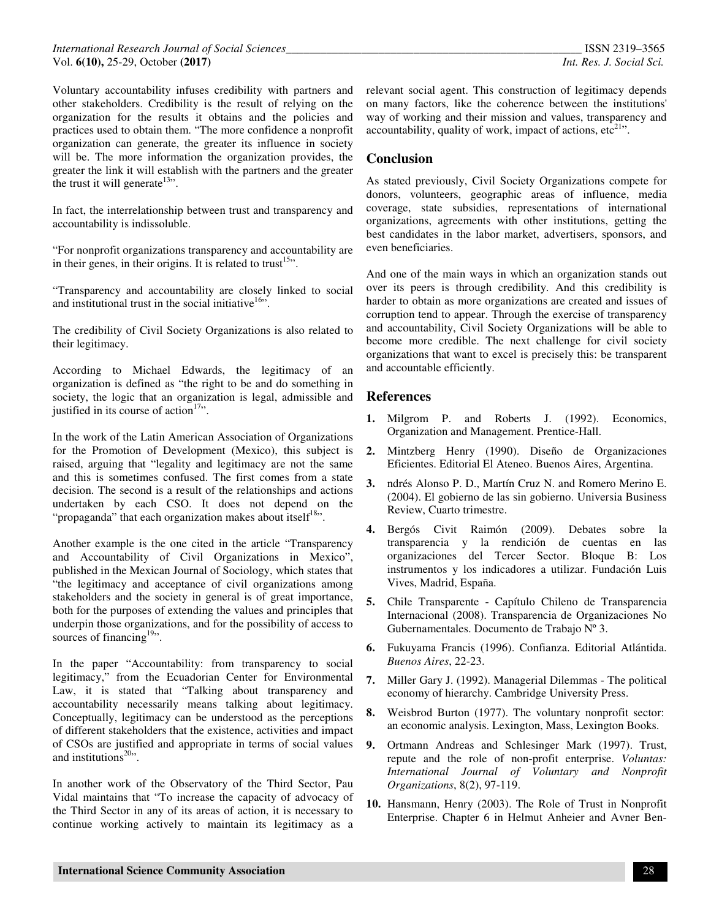Voluntary accountability infuses credibility with partners and other stakeholders. Credibility is the result of relying on the organization for the results it obtains and the policies and practices used to obtain them. "The more confidence a nonprofit organization can generate, the greater its influence in society will be. The more information the organization provides, the greater the link it will establish with the partners and the greater the trust it will generate<sup>13</sup>".

In fact, the interrelationship between trust and transparency and accountability is indissoluble.

"For nonprofit organizations transparency and accountability are in their genes, in their origins. It is related to trust<sup>15</sup>".

"Transparency and accountability are closely linked to social and institutional trust in the social initiative<sup>16,1</sup>.

The credibility of Civil Society Organizations is also related to their legitimacy.

According to Michael Edwards, the legitimacy of an organization is defined as "the right to be and do something in society, the logic that an organization is legal, admissible and justified in its course of action $17$ .

In the work of the Latin American Association of Organizations for the Promotion of Development (Mexico), this subject is raised, arguing that "legality and legitimacy are not the same and this is sometimes confused. The first comes from a state decision. The second is a result of the relationships and actions undertaken by each CSO. It does not depend on the "propaganda" that each organization makes about itself $18$ ".

Another example is the one cited in the article "Transparency and Accountability of Civil Organizations in Mexico", published in the Mexican Journal of Sociology, which states that "the legitimacy and acceptance of civil organizations among stakeholders and the society in general is of great importance, both for the purposes of extending the values and principles that underpin those organizations, and for the possibility of access to sources of financing $19$ .

In the paper "Accountability: from transparency to social legitimacy," from the Ecuadorian Center for Environmental Law, it is stated that "Talking about transparency and accountability necessarily means talking about legitimacy. Conceptually, legitimacy can be understood as the perceptions of different stakeholders that the existence, activities and impact of CSOs are justified and appropriate in terms of social values and institutions $20$ .

In another work of the Observatory of the Third Sector, Pau Vidal maintains that "To increase the capacity of advocacy of the Third Sector in any of its areas of action, it is necessary to continue working actively to maintain its legitimacy as a

relevant social agent. This construction of legitimacy depends on many factors, like the coherence between the institutions' way of working and their mission and values, transparency and accountability, quality of work, impact of actions,  $etc<sup>21</sup>$ .

### **Conclusion**

As stated previously, Civil Society Organizations compete for donors, volunteers, geographic areas of influence, media coverage, state subsidies, representations of international organizations, agreements with other institutions, getting the best candidates in the labor market, advertisers, sponsors, and even beneficiaries.

And one of the main ways in which an organization stands out over its peers is through credibility. And this credibility is harder to obtain as more organizations are created and issues of corruption tend to appear. Through the exercise of transparency and accountability, Civil Society Organizations will be able to become more credible. The next challenge for civil society organizations that want to excel is precisely this: be transparent and accountable efficiently.

#### **References**

- **1.** Milgrom P. and Roberts J. (1992). Economics, Organization and Management. Prentice-Hall.
- **2.** Mintzberg Henry (1990). Diseño de Organizaciones Eficientes. Editorial El Ateneo. Buenos Aires, Argentina.
- **3.** ndrés Alonso P. D., Martín Cruz N. and Romero Merino E. (2004). El gobierno de las sin gobierno. Universia Business Review, Cuarto trimestre.
- **4.** Bergós Civit Raimón (2009). Debates sobre la transparencia y la rendición de cuentas en las organizaciones del Tercer Sector. Bloque B: Los instrumentos y los indicadores a utilizar. Fundación Luis Vives, Madrid, España.
- **5.** Chile Transparente Capítulo Chileno de Transparencia Internacional (2008). Transparencia de Organizaciones No Gubernamentales. Documento de Trabajo Nº 3.
- **6.** Fukuyama Francis (1996). Confianza. Editorial Atlántida. *Buenos Aires*, 22-23.
- **7.** Miller Gary J. (1992). Managerial Dilemmas The political economy of hierarchy. Cambridge University Press.
- **8.** Weisbrod Burton (1977). The voluntary nonprofit sector: an economic analysis. Lexington, Mass, Lexington Books.
- **9.** Ortmann Andreas and Schlesinger Mark (1997). Trust, repute and the role of non-profit enterprise. *Voluntas: International Journal of Voluntary and Nonprofit Organizations*, 8(2), 97-119.
- **10.** Hansmann, Henry (2003). The Role of Trust in Nonprofit Enterprise. Chapter 6 in Helmut Anheier and Avner Ben-